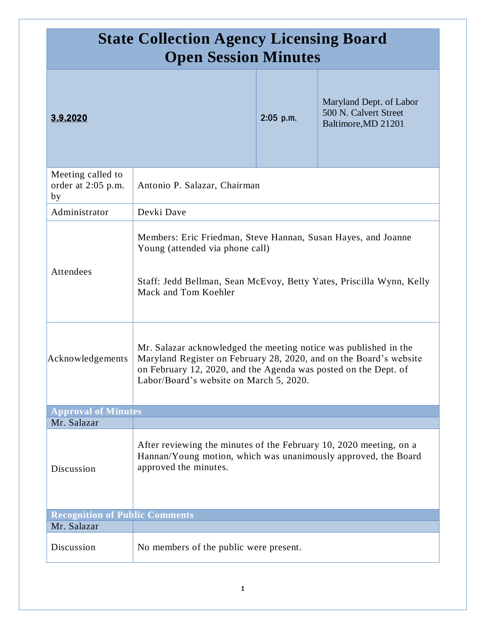| <b>State Collection Agency Licensing Board</b><br><b>Open Session Minutes</b> |                                                                                                                                                                                                                                                      |             |                                                                         |
|-------------------------------------------------------------------------------|------------------------------------------------------------------------------------------------------------------------------------------------------------------------------------------------------------------------------------------------------|-------------|-------------------------------------------------------------------------|
| 3.9.2020                                                                      |                                                                                                                                                                                                                                                      | $2:05$ p.m. | Maryland Dept. of Labor<br>500 N. Calvert Street<br>Baltimore, MD 21201 |
| Meeting called to<br>order at 2:05 p.m.<br>by                                 | Antonio P. Salazar, Chairman                                                                                                                                                                                                                         |             |                                                                         |
| Administrator                                                                 | Devki Dave                                                                                                                                                                                                                                           |             |                                                                         |
| Attendees                                                                     | Members: Eric Friedman, Steve Hannan, Susan Hayes, and Joanne<br>Young (attended via phone call)<br>Staff: Jedd Bellman, Sean McEvoy, Betty Yates, Priscilla Wynn, Kelly<br>Mack and Tom Koehler                                                     |             |                                                                         |
| Acknowledgements                                                              | Mr. Salazar acknowledged the meeting notice was published in the<br>Maryland Register on February 28, 2020, and on the Board's website<br>on February 12, 2020, and the Agenda was posted on the Dept. of<br>Labor/Board's website on March 5, 2020. |             |                                                                         |
| <b>Approval of Minutes</b>                                                    |                                                                                                                                                                                                                                                      |             |                                                                         |
| Mr. Salazar                                                                   |                                                                                                                                                                                                                                                      |             |                                                                         |
| Discussion                                                                    | After reviewing the minutes of the February 10, 2020 meeting, on a<br>Hannan/Young motion, which was unanimously approved, the Board<br>approved the minutes.                                                                                        |             |                                                                         |
| <b>Recognition of Public Comments</b>                                         |                                                                                                                                                                                                                                                      |             |                                                                         |
| Mr. Salazar                                                                   |                                                                                                                                                                                                                                                      |             |                                                                         |
| Discussion                                                                    | No members of the public were present.                                                                                                                                                                                                               |             |                                                                         |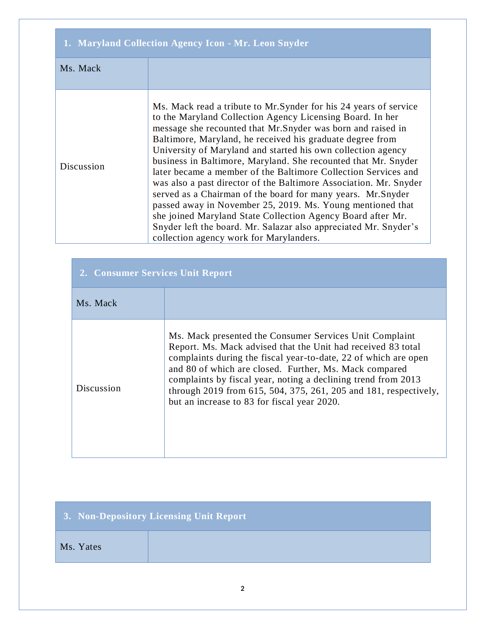| 1. Maryland Collection Agency Icon - Mr. Leon Snyder |                                                                                                                                                                                                                                                                                                                                                                                                                                                                                                                                                                                                                                                                                                                                                                                                                                                |  |
|------------------------------------------------------|------------------------------------------------------------------------------------------------------------------------------------------------------------------------------------------------------------------------------------------------------------------------------------------------------------------------------------------------------------------------------------------------------------------------------------------------------------------------------------------------------------------------------------------------------------------------------------------------------------------------------------------------------------------------------------------------------------------------------------------------------------------------------------------------------------------------------------------------|--|
| Ms. Mack                                             |                                                                                                                                                                                                                                                                                                                                                                                                                                                                                                                                                                                                                                                                                                                                                                                                                                                |  |
| Discussion                                           | Ms. Mack read a tribute to Mr. Synder for his 24 years of service<br>to the Maryland Collection Agency Licensing Board. In her<br>message she recounted that Mr.Snyder was born and raised in<br>Baltimore, Maryland, he received his graduate degree from<br>University of Maryland and started his own collection agency<br>business in Baltimore, Maryland. She recounted that Mr. Snyder<br>later became a member of the Baltimore Collection Services and<br>was also a past director of the Baltimore Association. Mr. Snyder<br>served as a Chairman of the board for many years. Mr.Snyder<br>passed away in November 25, 2019. Ms. Young mentioned that<br>she joined Maryland State Collection Agency Board after Mr.<br>Snyder left the board. Mr. Salazar also appreciated Mr. Snyder's<br>collection agency work for Marylanders. |  |

| 2. Consumer Services Unit Report |                                                                                                                                                                                                                                                                                                                                                                                                                                          |
|----------------------------------|------------------------------------------------------------------------------------------------------------------------------------------------------------------------------------------------------------------------------------------------------------------------------------------------------------------------------------------------------------------------------------------------------------------------------------------|
| Ms. Mack                         |                                                                                                                                                                                                                                                                                                                                                                                                                                          |
| Discussion                       | Ms. Mack presented the Consumer Services Unit Complaint<br>Report. Ms. Mack advised that the Unit had received 83 total<br>complaints during the fiscal year-to-date, 22 of which are open<br>and 80 of which are closed. Further, Ms. Mack compared<br>complaints by fiscal year, noting a declining trend from 2013<br>through 2019 from 615, 504, 375, 261, 205 and 181, respectively,<br>but an increase to 83 for fiscal year 2020. |

|           | 3. Non-Depository Licensing Unit Report |
|-----------|-----------------------------------------|
| Ms. Yates |                                         |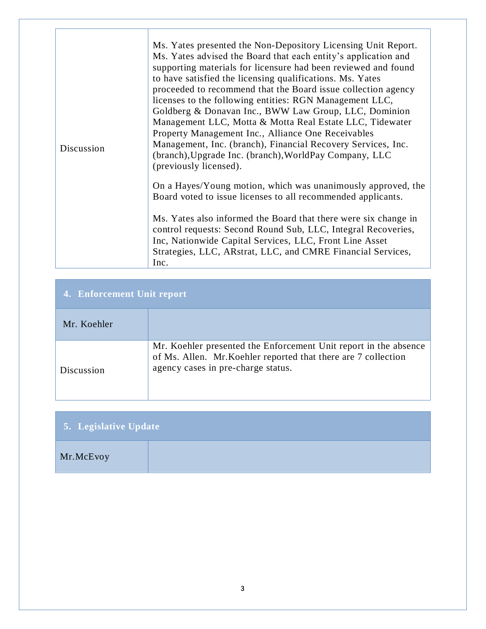| Discussion | Ms. Yates presented the Non-Depository Licensing Unit Report.<br>Ms. Yates advised the Board that each entity's application and<br>supporting materials for licensure had been reviewed and found<br>to have satisfied the licensing qualifications. Ms. Yates<br>proceeded to recommend that the Board issue collection agency<br>licenses to the following entities: RGN Management LLC,<br>Goldberg & Donavan Inc., BWW Law Group, LLC, Dominion<br>Management LLC, Motta & Motta Real Estate LLC, Tidewater<br>Property Management Inc., Alliance One Receivables<br>Management, Inc. (branch), Financial Recovery Services, Inc.<br>(branch), Upgrade Inc. (branch), WorldPay Company, LLC<br>(previously licensed).<br>On a Hayes/Young motion, which was unanimously approved, the<br>Board voted to issue licenses to all recommended applicants.<br>Ms. Yates also informed the Board that there were six change in<br>control requests: Second Round Sub, LLC, Integral Recoveries,<br>Inc, Nationwide Capital Services, LLC, Front Line Asset<br>Strategies, LLC, ARstrat, LLC, and CMRE Financial Services,<br>Inc. |
|------------|---------------------------------------------------------------------------------------------------------------------------------------------------------------------------------------------------------------------------------------------------------------------------------------------------------------------------------------------------------------------------------------------------------------------------------------------------------------------------------------------------------------------------------------------------------------------------------------------------------------------------------------------------------------------------------------------------------------------------------------------------------------------------------------------------------------------------------------------------------------------------------------------------------------------------------------------------------------------------------------------------------------------------------------------------------------------------------------------------------------------------------|

| 4. Enforcement Unit report |                                                                                                                                                                          |  |
|----------------------------|--------------------------------------------------------------------------------------------------------------------------------------------------------------------------|--|
| Mr. Koehler                |                                                                                                                                                                          |  |
| Discussion                 | Mr. Koehler presented the Enforcement Unit report in the absence<br>of Ms. Allen. Mr. Koehler reported that there are 7 collection<br>agency cases in pre-charge status. |  |

| 5. Legislative Update |  |  |
|-----------------------|--|--|
| Mr.McEvoy             |  |  |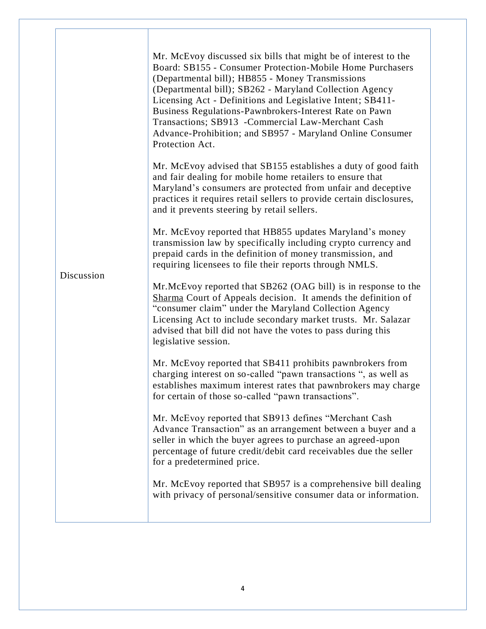|            | Mr. McEvoy discussed six bills that might be of interest to the<br>Board: SB155 - Consumer Protection-Mobile Home Purchasers<br>(Departmental bill); HB855 - Money Transmissions<br>(Departmental bill); SB262 - Maryland Collection Agency<br>Licensing Act - Definitions and Legislative Intent; SB411-<br>Business Regulations-Pawnbrokers-Interest Rate on Pawn<br>Transactions; SB913 - Commercial Law-Merchant Cash<br>Advance-Prohibition; and SB957 - Maryland Online Consumer<br>Protection Act. |
|------------|-----------------------------------------------------------------------------------------------------------------------------------------------------------------------------------------------------------------------------------------------------------------------------------------------------------------------------------------------------------------------------------------------------------------------------------------------------------------------------------------------------------|
|            | Mr. McEvoy advised that SB155 establishes a duty of good faith<br>and fair dealing for mobile home retailers to ensure that<br>Maryland's consumers are protected from unfair and deceptive<br>practices it requires retail sellers to provide certain disclosures,<br>and it prevents steering by retail sellers.                                                                                                                                                                                        |
|            | Mr. McEvoy reported that HB855 updates Maryland's money<br>transmission law by specifically including crypto currency and<br>prepaid cards in the definition of money transmission, and<br>requiring licensees to file their reports through NMLS.                                                                                                                                                                                                                                                        |
| Discussion | Mr. McEvoy reported that SB262 (OAG bill) is in response to the<br>Sharma Court of Appeals decision. It amends the definition of<br>"consumer claim" under the Maryland Collection Agency<br>Licensing Act to include secondary market trusts. Mr. Salazar<br>advised that bill did not have the votes to pass during this<br>legislative session.                                                                                                                                                        |
|            | Mr. McEvoy reported that SB411 prohibits pawnbrokers from<br>charging interest on so-called "pawn transactions", as well as<br>establishes maximum interest rates that pawnbrokers may charge<br>for certain of those so-called "pawn transactions".                                                                                                                                                                                                                                                      |
|            | Mr. McEvoy reported that SB913 defines "Merchant Cash<br>Advance Transaction" as an arrangement between a buyer and a<br>seller in which the buyer agrees to purchase an agreed-upon<br>percentage of future credit/debit card receivables due the seller<br>for a predetermined price.                                                                                                                                                                                                                   |
|            | Mr. McEvoy reported that SB957 is a comprehensive bill dealing<br>with privacy of personal/sensitive consumer data or information.                                                                                                                                                                                                                                                                                                                                                                        |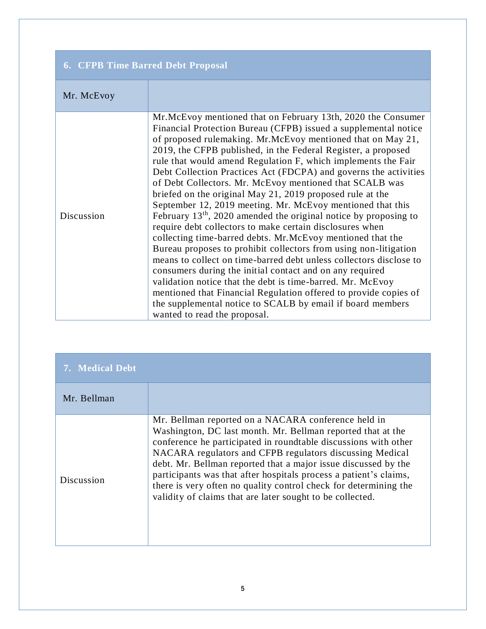| <b>6. CFPB Time Barred Debt Proposal</b> |                                                                                                                                                                                                                                                                                                                                                                                                                                                                                                                                                                                                                                                                                                                                                                                                                                                                                                                                                                                                                                                                                                                                                                                                                                   |  |
|------------------------------------------|-----------------------------------------------------------------------------------------------------------------------------------------------------------------------------------------------------------------------------------------------------------------------------------------------------------------------------------------------------------------------------------------------------------------------------------------------------------------------------------------------------------------------------------------------------------------------------------------------------------------------------------------------------------------------------------------------------------------------------------------------------------------------------------------------------------------------------------------------------------------------------------------------------------------------------------------------------------------------------------------------------------------------------------------------------------------------------------------------------------------------------------------------------------------------------------------------------------------------------------|--|
| Mr. McEvoy                               |                                                                                                                                                                                                                                                                                                                                                                                                                                                                                                                                                                                                                                                                                                                                                                                                                                                                                                                                                                                                                                                                                                                                                                                                                                   |  |
| Discussion                               | Mr. McEvoy mentioned that on February 13th, 2020 the Consumer<br>Financial Protection Bureau (CFPB) issued a supplemental notice<br>of proposed rulemaking. Mr.McEvoy mentioned that on May 21,<br>2019, the CFPB published, in the Federal Register, a proposed<br>rule that would amend Regulation F, which implements the Fair<br>Debt Collection Practices Act (FDCPA) and governs the activities<br>of Debt Collectors. Mr. McEvoy mentioned that SCALB was<br>briefed on the original May 21, 2019 proposed rule at the<br>September 12, 2019 meeting. Mr. McEvoy mentioned that this<br>February $13th$ , 2020 amended the original notice by proposing to<br>require debt collectors to make certain disclosures when<br>collecting time-barred debts. Mr.McEvoy mentioned that the<br>Bureau proposes to prohibit collectors from using non-litigation<br>means to collect on time-barred debt unless collectors disclose to<br>consumers during the initial contact and on any required<br>validation notice that the debt is time-barred. Mr. McEvoy<br>mentioned that Financial Regulation offered to provide copies of<br>the supplemental notice to SCALB by email if board members<br>wanted to read the proposal. |  |

| 7. Medical Debt |                                                                                                                                                                                                                                                                                                                                                                                                                                                                                                                           |
|-----------------|---------------------------------------------------------------------------------------------------------------------------------------------------------------------------------------------------------------------------------------------------------------------------------------------------------------------------------------------------------------------------------------------------------------------------------------------------------------------------------------------------------------------------|
| Mr. Bellman     |                                                                                                                                                                                                                                                                                                                                                                                                                                                                                                                           |
| Discussion      | Mr. Bellman reported on a NACARA conference held in<br>Washington, DC last month. Mr. Bellman reported that at the<br>conference he participated in roundtable discussions with other<br>NACARA regulators and CFPB regulators discussing Medical<br>debt. Mr. Bellman reported that a major issue discussed by the<br>participants was that after hospitals process a patient's claims,<br>there is very often no quality control check for determining the<br>validity of claims that are later sought to be collected. |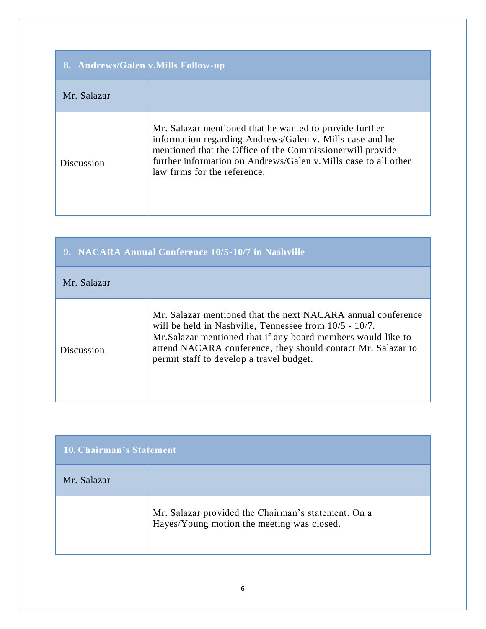| 8. Andrews/Galen v. Mills Follow-up |                                                                                                                                                                                                                                                                                     |  |
|-------------------------------------|-------------------------------------------------------------------------------------------------------------------------------------------------------------------------------------------------------------------------------------------------------------------------------------|--|
| Mr. Salazar                         |                                                                                                                                                                                                                                                                                     |  |
| Discussion                          | Mr. Salazar mentioned that he wanted to provide further<br>information regarding Andrews/Galen v. Mills case and he<br>mentioned that the Office of the Commissionerwill provide<br>further information on Andrews/Galen v. Mills case to all other<br>law firms for the reference. |  |

| 9. NACARA Annual Conference 10/5-10/7 in Nashville |                                                                                                                                                                                                                                                                                                        |  |
|----------------------------------------------------|--------------------------------------------------------------------------------------------------------------------------------------------------------------------------------------------------------------------------------------------------------------------------------------------------------|--|
| Mr. Salazar                                        |                                                                                                                                                                                                                                                                                                        |  |
| Discussion                                         | Mr. Salazar mentioned that the next NACARA annual conference<br>will be held in Nashville, Tennessee from $10/5 - 10/7$ .<br>Mr. Salazar mentioned that if any board members would like to<br>attend NACARA conference, they should contact Mr. Salazar to<br>permit staff to develop a travel budget. |  |

| <b>10. Chairman's Statement</b> |                                                                                                   |
|---------------------------------|---------------------------------------------------------------------------------------------------|
| Mr. Salazar                     |                                                                                                   |
|                                 | Mr. Salazar provided the Chairman's statement. On a<br>Hayes/Young motion the meeting was closed. |